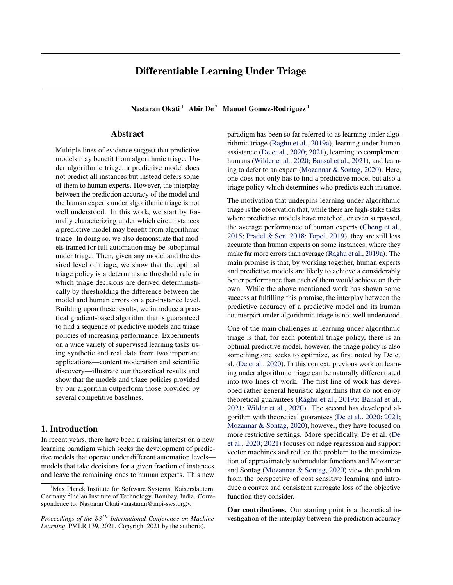Nastaran Okati<sup>1</sup> Abir De<sup>2</sup> Manuel Gomez-Rodriguez<sup>1</sup>

### Abstract

Multiple lines of evidence suggest that predictive models may benefit from algorithmic triage. Under algorithmic triage, a predictive model does not predict all instances but instead defers some of them to human experts. However, the interplay between the prediction accuracy of the model and the human experts under algorithmic triage is not well understood. In this work, we start by formally characterizing under which circumstances a predictive model may benefit from algorithmic triage. In doing so, we also demonstrate that models trained for full automation may be suboptimal under triage. Then, given any model and the desired level of triage, we show that the optimal triage policy is a deterministic threshold rule in which triage decisions are derived deterministically by thresholding the difference between the model and human errors on a per-instance level. Building upon these results, we introduce a practical gradient-based algorithm that is guaranteed to find a sequence of predictive models and triage policies of increasing performance. Experiments on a wide variety of supervised learning tasks using synthetic and real data from two important applications—content moderation and scientific discovery—illustrate our theoretical results and show that the models and triage policies provided by our algorithm outperform those provided by several competitive baselines.

# 1. Introduction

In recent years, there have been a raising interest on a new learning paradigm which seeks the development of predictive models that operate under different automation levels models that take decisions for a given fraction of instances and leave the remaining ones to human experts. This new

paradigm has been so far referred to as learning under algorithmic triage [\(Raghu et al.,](#page-8-0) [2019a\)](#page-8-0), learning under human assistance [\(De et al.,](#page-8-0) [2020;](#page-8-0) [2021\)](#page-8-0), learning to complement humans [\(Wilder et al.,](#page-9-0) [2020;](#page-9-0) [Bansal et al.,](#page-8-0) [2021\)](#page-8-0), and learning to defer to an expert [\(Mozannar & Sontag,](#page-8-0) [2020\)](#page-8-0). Here, one does not only has to find a predictive model but also a triage policy which determines who predicts each instance.

The motivation that underpins learning under algorithmic triage is the observation that, while there are high-stake tasks where predictive models have matched, or even surpassed, the average performance of human experts [\(Cheng et al.,](#page-8-0) [2015;](#page-8-0) [Pradel & Sen,](#page-8-0) [2018;](#page-8-0) [Topol,](#page-9-0) [2019\)](#page-9-0), they are still less accurate than human experts on some instances, where they make far more errors than average [\(Raghu et al.,](#page-8-0) [2019a\)](#page-8-0). The main promise is that, by working together, human experts and predictive models are likely to achieve a considerably better performance than each of them would achieve on their own. While the above mentioned work has shown some success at fulfilling this promise, the interplay between the predictive accuracy of a predictive model and its human counterpart under algorithmic triage is not well understood.

One of the main challenges in learning under algorithmic triage is that, for each potential triage policy, there is an optimal predictive model, however, the triage policy is also something one seeks to optimize, as first noted by De et al. [\(De et al.,](#page-8-0) [2020\)](#page-8-0). In this context, previous work on learning under algorithmic triage can be naturally differentiated into two lines of work. The first line of work has developed rather general heuristic algorithms that do not enjoy theoretical guarantees [\(Raghu et al.,](#page-8-0) [2019a;](#page-8-0) [Bansal et al.,](#page-8-0) [2021;](#page-8-0) [Wilder et al.,](#page-9-0) [2020\)](#page-9-0). The second has developed algorithm with theoretical guarantees [\(De et al.,](#page-8-0) [2020;](#page-8-0) [2021;](#page-8-0) [Mozannar & Sontag,](#page-8-0) [2020\)](#page-8-0), however, they have focused on more restrictive settings. More specifically, De et al. [\(De](#page-8-0) [et al.,](#page-8-0) [2020;](#page-8-0) [2021\)](#page-8-0) focuses on ridge regression and support vector machines and reduce the problem to the maximization of approximately submodular functions and Mozannar and Sontag [\(Mozannar & Sontag,](#page-8-0) [2020\)](#page-8-0) view the problem from the perspective of cost sensitive learning and introduce a convex and consistent surrogate loss of the objective function they consider.

Our contributions. Our starting point is a theoretical investigation of the interplay between the prediction accuracy

<sup>&</sup>lt;sup>1</sup>Max Planck Institute for Software Systems, Kaiserslautern, Germany<sup>2</sup> Indian Institute of Technology, Bombay, India. Correspondence to: Nastaran Okati <nastaran@mpi-sws.org>.

*Proceedings of the*  $38<sup>th</sup>$  *International Conference on Machine Learning*, PMLR 139, 2021. Copyright 2021 by the author(s).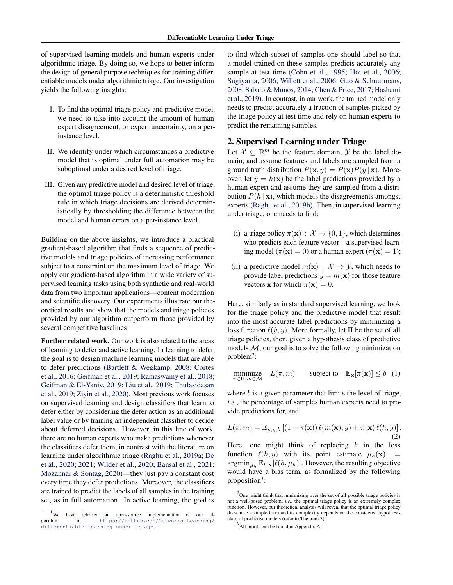<span id="page-1-0"></span>of supervised learning models and human experts under algorithmic triage. By doing so, we hope to better inform the design of general purpose techniques for training differentiable models under algorithmic triage. Our investigation yields the following insights:

- I. To find the optimal triage policy and predictive model, we need to take into account the amount of human expert disagreement, or expert uncertainty, on a perinstance level.
- II. We identify under which circumstances a predictive model that is optimal under full automation may be suboptimal under a desired level of triage.
- III. Given any predictive model and desired level of triage, the optimal triage policy is a deterministic threshold rule in which triage decisions are derived deterministically by thresholding the difference between the model and human errors on a per-instance level.

Building on the above insights, we introduce a practical gradient-based algorithm that finds a sequence of predictive models and triage policies of increasing performance subject to a constraint on the maximum level of triage. We apply our gradient-based algorithm in a wide variety of supervised learning tasks using both synthetic and real-world data from two important applications—content moderation and scientific discovery. Our experiments illustrate our theoretical results and show that the models and triage policies provided by our algorithm outperform those provided by several competitive baselines<sup>1</sup>

Further related work. Our work is also related to the areas of learning to defer and active learning. In learning to defer, the goal is to design machine learning models that are able to defer predictions [\(Bartlett & Wegkamp,](#page-8-0) [2008;](#page-8-0) [Cortes](#page-8-0) [et al.,](#page-8-0) [2016;](#page-8-0) [Geifman et al.,](#page-8-0) [2019;](#page-8-0) [Ramaswamy et al.,](#page-8-0) [2018;](#page-8-0) [Geifman & El-Yaniv,](#page-8-0) [2019;](#page-8-0) [Liu et al.,](#page-8-0) [2019;](#page-8-0) [Thulasidasan](#page-9-0) [et al.,](#page-9-0) [2019;](#page-9-0) [Ziyin et al.,](#page-9-0) [2020\)](#page-9-0). Most previous work focuses on supervised learning and design classifiers that learn to defer either by considering the defer action as an additional label value or by training an independent classifier to decide about deferred decisions. However, in this line of work, there are no human experts who make predictions whenever the classifiers defer them, in contrast with the literature on learning under algorithmic triage [\(Raghu et al.,](#page-8-0) [2019a;](#page-8-0) [De](#page-8-0) [et al.,](#page-8-0) [2020;](#page-8-0) [2021;](#page-8-0) [Wilder et al.,](#page-9-0) [2020;](#page-9-0) [Bansal et al.,](#page-8-0) [2021;](#page-8-0) [Mozannar & Sontag,](#page-8-0) [2020\)](#page-8-0)—they just pay a constant cost every time they defer predictions. Moreover, the classifiers are trained to predict the labels of all samples in the training set, as in full automation. In active learning, the goal is

to find which subset of samples one should label so that a model trained on these samples predicts accurately any sample at test time [\(Cohn et al.,](#page-8-0) [1995;](#page-8-0) [Hoi et al.,](#page-8-0) [2006;](#page-8-0) [Sugiyama,](#page-8-0) [2006;](#page-8-0) [Willett et al.,](#page-9-0) [2006;](#page-9-0) [Guo & Schuurmans,](#page-8-0) [2008;](#page-8-0) [Sabato & Munos,](#page-8-0) [2014;](#page-8-0) [Chen & Price,](#page-8-0) [2017;](#page-8-0) [Hashemi](#page-8-0) [et al.,](#page-8-0) [2019\)](#page-8-0). In contrast, in our work, the trained model only needs to predict accurately a fraction of samples picked by the triage policy at test time and rely on human experts to predict the remaining samples.

# 2. Supervised Learning under Triage

Let  $X \subseteq \mathbb{R}^m$  be the feature domain,  $Y$  be the label domain, and assume features and labels are sampled from a ground truth distribution  $P(\mathbf{x}, y) = P(\mathbf{x})P(y | \mathbf{x})$ . Moreover, let  $\hat{y} = h(\mathbf{x})$  be the label predictions provided by a human expert and assume they are sampled from a distribution  $P(h | x)$ , which models the disagreements amongst experts [\(Raghu et al.,](#page-8-0) [2019b\)](#page-8-0). Then, in supervised learning under triage, one needs to find:

- (i) a triage policy  $\pi(\mathbf{x}) : \mathcal{X} \to \{0, 1\}$ , which determines who predicts each feature vector—a supervised learning model ( $\pi(\mathbf{x}) = 0$ ) or a human expert ( $\pi(\mathbf{x}) = 1$ );
- (ii) a predictive model  $m(\mathbf{x}) : \mathcal{X} \to \mathcal{Y}$ , which needs to provide label predictions  $\hat{y} = m(\mathbf{x})$  for those feature vectors **x** for which  $\pi(\mathbf{x}) = 0$ .

Here, similarly as in standard supervised learning, we look for the triage policy and the predictive model that result into the most accurate label predictions by minimizing a loss function  $\ell(\hat{y}, y)$ . More formally, let  $\Pi$  be the set of all triage policies, then, given a hypothesis class of predictive models  $M$ , our goal is to solve the following minimization  $problem<sup>2</sup>$ :

$$
\underset{\pi \in \Pi, m \in \mathcal{M}}{\text{minimize}} \quad L(\pi, m) \qquad \text{subject to} \quad \mathbb{E}_{\mathbf{x}}[\pi(\mathbf{x})] \le b \quad (1)
$$

where  $b$  is a given parameter that limits the level of triage, *i.e.*, the percentage of samples human experts need to provide predictions for, and

$$
L(\pi, m) = \mathbb{E}_{\mathbf{x}, y, h} \left[ (1 - \pi(\mathbf{x})) \ell(m(\mathbf{x}), y) + \pi(\mathbf{x}) \ell(h, y) \right].
$$
\n(2)

Here, one might think of replacing  $h$  in the loss function  $\ell(h, y)$  with its point estimate  $\mu_h(\mathbf{x})$  $\operatorname{argmin}_{\mu_h} \mathbb{E}_{h|\mathbf{x}}[\ell(h, \mu_h)]$ . However, the resulting objective would have a bias term, as formalized by the following proposition<sup>3</sup>:

<sup>&</sup>lt;sup>1</sup>We have released an open-source implementation of our algorithm in https://github.com/Networks-Learning/ [https://github.com/Networks-Learning/](https://github.com/Networks-Learning/differentiable-learning-under-triage) [differentiable-learning-under-triage](https://github.com/Networks-Learning/differentiable-learning-under-triage).

 $2$ One might think that minimizing over the set of all possible triage policies is not a well-posed problem, *i.e.*, the optimal triage policy is an extremely complex function. However, our theoretical analysis will reveal that the optimal triage policy does have a simple form and its complexity depends on the considered hypothesis class of predictive models (refer to Theorem [3\)](#page-2-0).

<sup>3</sup> All proofs can be found in Appendix A.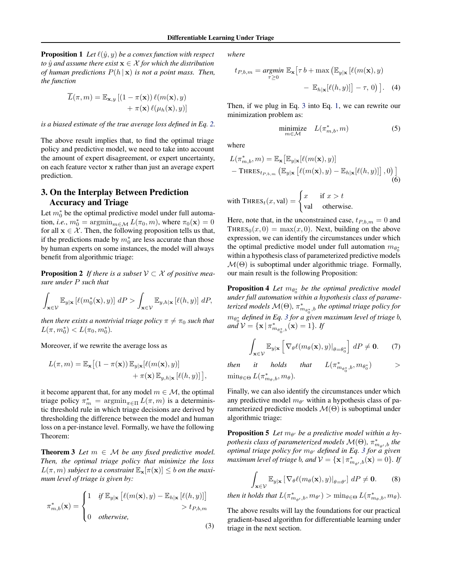<span id="page-2-0"></span>**Proposition 1** Let  $\ell(\hat{y}, y)$  be a convex function with respect *to*  $\hat{y}$  *and assume there exist*  $\mathbf{x} \in \mathcal{X}$  *for which the distribution of human predictions*  $P(h | \mathbf{x})$  *is not a point mass. Then, the function*

$$
\overline{L}(\pi, m) = \mathbb{E}_{\mathbf{x}, y} [(1 - \pi(\mathbf{x})) \ell(m(\mathbf{x}), y) + \pi(\mathbf{x}) \ell(\mu_h(\mathbf{x}), y)]
$$

*is a biased estimate of the true average loss defined in Eq. [2.](#page-1-0)*

The above result implies that, to find the optimal triage policy and predictive model, we need to take into account the amount of expert disagreement, or expert uncertainty, on each feature vector x rather than just an average expert prediction.

# 3. On the Interplay Between Prediction Accuracy and Triage

Let  $m_0^*$  be the optimal predictive model under full automation, *i.e.*,  $m_0^* = \operatorname{argmin}_{m \in \mathcal{M}} L(\pi_0, m)$ , where  $\pi_0(\mathbf{x}) = 0$ for all  $x \in \mathcal{X}$ . Then, the following proposition tells us that, if the predictions made by  $m_0^*$  are less accurate than those by human experts on some instances, the model will always benefit from algorithmic triage:

**Proposition 2** If there is a subset  $V \subset \mathcal{X}$  of positive mea*sure under* P *such that*

$$
\int_{\mathbf{x}\in \mathcal{V}} \mathbb{E}_{y|\mathbf{x}} \left[ \ell(m_0^*(\mathbf{x}), y) \right] dP > \int_{\mathbf{x}\in \mathcal{V}} \mathbb{E}_{y, h|\mathbf{x}} \left[ \ell(h, y) \right] dP,
$$

*then there exists a nontrivial triage policy*  $\pi \neq \pi_0$  *such that*  $L(\pi, m_0^*) < L(\pi_0, m_0^*).$ 

Moreover, if we rewrite the average loss as

$$
L(\pi, m) = \mathbb{E}_{\mathbf{x}} \left[ (1 - \pi(\mathbf{x})) \mathbb{E}_{y | \mathbf{x}} [\ell(m(\mathbf{x}), y)] + \pi(\mathbf{x}) \mathbb{E}_{y, h | \mathbf{x}} [\ell(h, y)] \right],
$$

it become apparent that, for any model  $m \in \mathcal{M}$ , the optimal triage policy  $\pi_m^* = \operatorname{argmin}_{\pi \in \Pi} L(\pi, m)$  is a deterministic threshold rule in which triage decisions are derived by thresholding the difference between the model and human loss on a per-instance level. Formally, we have the following Theorem:

**Theorem 3** Let  $m \in M$  be any fixed predictive model. *Then, the optimal triage policy that minimize the loss*  $L(\pi, m)$  *subject to a constraint*  $\mathbb{E}_{\mathbf{x}}[\pi(\mathbf{x})] \leq b$  *on the maximum level of triage is given by:*

$$
\pi_{m,b}^*(\mathbf{x}) = \begin{cases}\n1 & \text{if } \mathbb{E}_{y|\mathbf{x}} \left[ \ell(m(\mathbf{x}), y) - \mathbb{E}_{h|\mathbf{x}} \left[ \ell(h, y) \right] \right] \\
0 & \text{otherwise,} \\
0 & \text{otherwise,} \n\end{cases}
$$
\n(3)

*where*

$$
t_{P,b,m} = \underset{\tau \ge 0}{\operatorname{argmin}} \mathbb{E}_{\mathbf{x}} \left[ \tau \, b + \max \left( \mathbb{E}_{y|\mathbf{x}} \left[ \ell(m(\mathbf{x}), y) - \mathbb{E}_{h|\mathbf{x}} \left[ \ell(h, y) \right] \right] - \tau, 0 \right) \right]. \tag{4}
$$

Then, if we plug in Eq. 3 into Eq. [1,](#page-1-0) we can rewrite our minimization problem as:

$$
\underset{m \in \mathcal{M}}{\text{minimize}} \quad L(\pi^*_{m,b}, m) \tag{5}
$$

where

$$
L(\pi_{m,b}^*, m) = \mathbb{E}_{\mathbf{x}} \left[ \mathbb{E}_{y|\mathbf{x}} [\ell(m(\mathbf{x}), y)] - \text{THRES}_{t_{P,b,m}} \left( \mathbb{E}_{y|\mathbf{x}} [\ell(m(\mathbf{x}), y) - \mathbb{E}_{h|\mathbf{x}} [\ell(h, y)] \right], 0 \right) \right]
$$
\n(6)

with 
$$
\text{THRES}_t(x, \text{val}) = \begin{cases} x & \text{if } x > t \\ \text{val} & \text{otherwise.} \end{cases}
$$

Here, note that, in the unconstrained case,  $t_{P,b,m} = 0$  and THRES<sub>0</sub> $(x, 0) = \max(x, 0)$ . Next, building on the above expression, we can identify the circumstances under which the optimal predictive model under full automation  $m_{\theta_0^*}$ within a hypothesis class of parameterized predictive models  $M(\Theta)$  is suboptimal under algorithmic triage. Formally, our main result is the following Proposition:

**Proposition 4** Let  $m_{\theta_0^*}$  be the optimal predictive model *under full automation within a hypothesis class of parame*terized models  $\mathcal{M}(\Theta)$ ,  $\pi^*_{m_{\mathcal{O}_0^*},b}$  the optimal triage policy for m<sup>θ</sup> ∗ 0 *defined in Eq. 3 for a given maximum level of triage* b*,*  $an\check{d} \; \mathcal{V} = \{ \mathbf{x} \, | \, \pi^*_{m_{\theta^*_0,b}}(\mathbf{x}) = 1 \}.$  If

$$
\int_{\mathbf{x}\in\mathcal{V}} \mathbb{E}_{y|\mathbf{x}} \left[ \nabla_{\theta} \ell(m_{\theta}(\mathbf{x}), y)|_{\theta=\theta_0^*} \right] dP \neq \mathbf{0}.\tag{7}
$$

*then it holds that*  $_{m_{\theta_0^*},b}^*$ ,  $m_{\theta_0^*}$  $>$  $\min_{\theta \in \Theta} L(\pi^*_{m_\theta,b}, m_\theta)$ .

Finally, we can also identify the circumstances under which any predictive model  $m_{\theta}$ , within a hypothesis class of parameterized predictive models  $\mathcal{M}(\Theta)$  is suboptimal under algorithmic triage:

**Proposition 5** Let  $m_{\theta}$ , be a predictive model within a hypothesis class of parameterized models  $\mathcal{M}(\Theta)$ ,  $\pi^*_{m_{\theta'},b}$  the *optimal triage policy for m<sub>θ'</sub> defined in Eq. 3 for a given maximum level of triage b, and*  $\mathcal{V} = {\mathbf{x} | \pi^*_{m_{\theta'},b}(\mathbf{x}) = 0}$ *. If* 

$$
\int_{\mathbf{x}\in\mathcal{V}}\mathbb{E}_{y|\mathbf{x}}\left[\nabla_{\theta}\ell(m_{\theta}(\mathbf{x}),y)|_{\theta=\theta'}\right]dP\neq\mathbf{0}.\qquad(8)
$$

*then it holds that*  $L(\pi^*_{m_{\theta'},b}, m_{\theta'}) > \min_{\theta \in \Theta} L(\pi^*_{m_{\theta},b}, m_{\theta})$ .

The above results will lay the foundations for our practical gradient-based algorithm for differentiable learning under triage in the next section.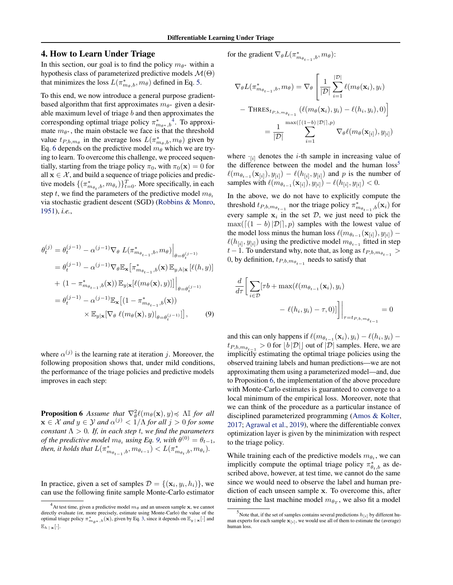# 4. How to Learn Under Triage

In this section, our goal is to find the policy  $m_{\theta^*}$  within a hypothesis class of parameterized predictive models  $\mathcal{M}(\Theta)$ that minimizes the loss  $L(\pi^*_{m_\theta,b}, m_\theta)$  defined in Eq. [5.](#page-2-0)

To this end, we now introduce a general purpose gradientbased algorithm that first approximates  $m_{\theta^*}$  given a desirable maximum level of triage  $b$  and then approximates the corresponding optimal triage policy  $\pi_{m_{\theta^*},b}^*$ <sup>4</sup>. To approximate  $m_{\theta^*}$ , the main obstacle we face is that the threshold value  $t_{P,b,m_\theta}$  in the average loss  $L(\pi^*_{m_\theta,b}, m_\theta)$  given by Eq. [6](#page-2-0) depends on the predictive model  $m_\theta$  which we are trying to learn. To overcome this challenge, we proceed sequentially, starting from the triage policy  $\pi_0$ , with  $\pi_0(\mathbf{x}) = 0$  for all  $x \in \mathcal{X}$ , and build a sequence of triage policies and predictive models  $\{(\pi^*_{m_{\theta_t},b}, m_{\theta_t})\}_{t=0}^T$ . More specifically, in each step t, we find the parameters of the predictive model  $m_{\theta_t}$ via stochastic gradient descent (SGD) [\(Robbins & Monro,](#page-8-0) [1951\)](#page-8-0), *i.e.*,

$$
\theta_{t}^{(j)} = \theta_{t}^{(j-1)} - \alpha^{(j-1)} \nabla_{\theta} L(\pi_{m_{\theta_{t-1}},b}^{*}, m_{\theta}) \Big|_{\theta = \theta_{t}^{(j-1)}}
$$
\n
$$
= \theta_{t}^{(j-1)} - \alpha^{(j-1)} \nabla_{\theta} \mathbb{E}_{\mathbf{x}} [\pi_{m_{\theta_{t-1}},b}^{*}(\mathbf{x}) \mathbb{E}_{y,h|\mathbf{x}} [\ell(h,y)]
$$
\n
$$
+ (1 - \pi_{m_{\theta_{t-1}},b}^{*}(\mathbf{x})) \mathbb{E}_{y|\mathbf{x}} [\ell(m_{\theta}(\mathbf{x}), y)]] \Big|_{\theta = \theta_{t}^{(j-1)}}
$$
\n
$$
= \theta_{t}^{(j-1)} - \alpha^{(j-1)} \mathbb{E}_{\mathbf{x}} [(1 - \pi_{m_{\theta_{t-1}},b}^{*}(\mathbf{x}))
$$
\n
$$
\times \mathbb{E}_{y|\mathbf{x}} [\nabla_{\theta} \ell(m_{\theta}(\mathbf{x}), y)]_{\theta = \theta_{t}^{(j-1)}}], \qquad (9)
$$

where  $\alpha^{(j)}$  is the learning rate at iteration j. Moreover, the following proposition shows that, under mild conditions, the performance of the triage policies and predictive models improves in each step:

**Proposition 6** Assume that  $\nabla^2_{\theta} \ell(m_{\theta}(\mathbf{x}), y) \preccurlyeq \Lambda \mathbb{I}$  for all  $\mathbf{x} \in \mathcal{X}$  and  $y \in \mathcal{Y}$  and  $\alpha^{(j)} < 1/\Lambda$  for all  $j > 0$  for some *constant*  $\Lambda > 0$ *. If, in each step t, we find the parameters of the predictive model*  $m_{\theta_t}$  *using Eq.* 9, with  $\theta^{(0)} = \theta_{t-1}$ , then, it holds that  $L(\pi^*_{m_{\theta_{t-1}},b}, m_{\theta_{t-1}}) < L(\pi^*_{m_{\theta_t},b}, m_{\theta_t}).$ 

In practice, given a set of samples  $\mathcal{D} = \{(\mathbf{x}_i, y_i, h_i)\}\)$ , we can use the following finite sample Monte-Carlo estimator for the gradient  $\nabla_{\theta} L(\pi^*_{m_{\theta_{t-1}},b}, m_{\theta})$ :

$$
\nabla_{\theta} L(\pi_{m_{\theta_{t-1}},b}^{*}, m_{\theta}) = \nabla_{\theta} \left[ \frac{1}{|\mathcal{D}|} \sum_{i=1}^{|\mathcal{D}|} \ell(m_{\theta}(\mathbf{x}_{i}), y_{i}) - \text{THRES}_{t_{P,b,m_{\theta_{t-1}}}} (\ell(m_{\theta}(\mathbf{x}_{i}), y_{i}) - \ell(h_{i}, y_{i}), 0) \right]
$$

$$
= \frac{1}{|\mathcal{D}|} \sum_{i=1}^{\max(\lceil (1-b) |\mathcal{D}| \rceil, p)} \nabla_{\theta} \ell(m_{\theta}(\mathbf{x}_{[i]}), y_{[i]})
$$

where  $\cdot_{[i]}$  denotes the *i*-th sample in increasing value of the difference between the model and the human  $loss<sup>5</sup>$  $\ell(m_{\theta_{t-1}}(\mathbf{x}_{[i]}), y_{[i]}) - \ell(h_{[i]}, y_{[i]})$  and p is the number of samples with  $\ell(m_{\theta_{t-1}}(\mathbf{x}_{[i]}), y_{[i]}) - \ell(h_{[i]}, y_{[i]}) < 0.$ 

In the above, we do not have to explicitly compute the threshold  $t_{P,b,m_{\theta_{t-1}}}$  nor the triage policy  $\pi^*_{m_{\theta_{t-1}},b}(\mathbf{x}_i)$  for every sample  $x_i$  in the set  $D$ , we just need to pick the  $\max(\left[ (1 - b) |D| \right], p)$  samples with the lowest value of the model loss minus the human loss  $\ell(m_{\theta_{t-1}}(\mathbf{x}_{[i]}), y_{[i]})$  –  $\ell(h_{[i]}, y_{[i]})$  using the predictive model  $m_{\theta_{t-1}}$  fitted in step  $t-1$ . To understand why, note that, as long as  $t_{P,b,m_{\theta_{t-1}}}$  > 0, by definition,  $t_{P,b,m_{\theta_{t-1}}}$  needs to satisfy that

$$
\frac{d}{d\tau} \left[ \sum_{i \in \mathcal{D}} [\tau b + \max(\ell(m_{\theta_{t-1}}(\mathbf{x}_i), y_i)] - \ell(h_i, y_i) - \tau, 0)] \right] \Big|_{\tau = t_{P,b,m_{\theta_{t-1}}}} = 0
$$

and this can only happens if  $\ell(m_{\theta_{t-1}}(\mathbf{x}_i), y_i) - \ell(h_i, y_i)$  –  $t_{P,b,m_{\theta_{t-1}}} > 0$  for  $\lfloor b \, |\mathcal{D}| \rfloor$  out of  $|\mathcal{D}|$  samples. Here, we are implicitly estimating the optimal triage policies using the observed training labels and human predictions—we are not approximating them using a parameterized model—and, due to Proposition 6, the implementation of the above procedure with Monte-Carlo estimates is guaranteed to converge to a local minimum of the empirical loss. Moreover, note that we can think of the procedure as a particular instance of disciplined parameterized programming [\(Amos & Kolter,](#page-8-0) [2017;](#page-8-0) [Agrawal et al.,](#page-8-0) [2019\)](#page-8-0), where the differentiable convex optimization layer is given by the minimization with respect to the triage policy.

While training each of the predictive models  $m_{\theta_t}$ , we can implicitly compute the optimal triage policy  $\pi^*_{\theta_t,b}$  as described above, however, at test time, we cannot do the same since we would need to observe the label and human prediction of each unseen sample x. To overcome this, after training the last machine model  $m_{\theta_T}$ , we also fit a model

<sup>&</sup>lt;sup>4</sup> At test time, given a predictive model  $m_\theta$  and an unseen sample **x**, we cannot directly evaluate (or, more precisely, estimate using Monte-Carlo) the value of the optimal triage policy  $\pi^*_{m_{\theta^*},b}(\mathbf{x})$ , given by Eq. [3,](#page-2-0) since it depends on  $\mathbb{E}_{y \mid \mathbf{x}}[\cdot]$  and  $\mathbb{E}_{h}$   $\vert \mathbf{x}[\cdot]$ .

<sup>&</sup>lt;sup>5</sup> Note that, if the set of samples contains several predictions  $h_{[i]}$  by different human experts for each sample  $\mathbf{x}_{[i]}$ , we would use all of them to estimate the (average) human loss.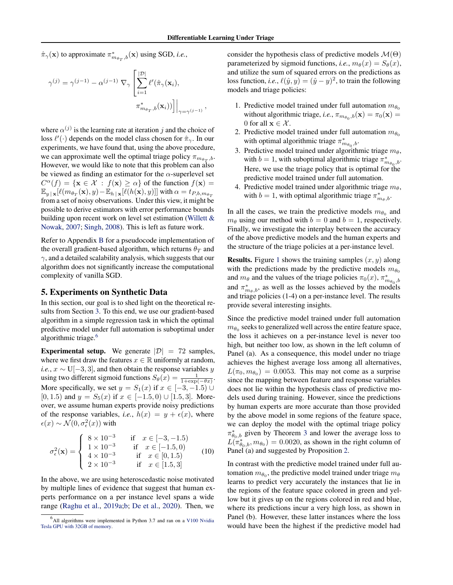<span id="page-4-0"></span> $\hat{\pi}_{\gamma}(\mathbf{x})$  to approximate  $\pi^*_{m_{\theta_T},b}(\mathbf{x})$  using SGD, *i.e.*,

$$
\gamma^{(j)} = \gamma^{(j-1)} - \alpha^{(j-1)} \nabla_{\gamma} \left[ \sum_{i=1}^{|\mathcal{D}|} \ell'(\hat{\pi}_{\gamma}(\mathbf{x}_i), \pi^*_{m_{\theta_T},b}(\mathbf{x}_i)) \right] \Big|_{\gamma = \gamma^{(j-1)}},
$$

where  $\alpha^{(j)}$  is the learning rate at iteration j and the choice of loss  $\ell'(\cdot)$  depends on the model class chosen for  $\hat{\pi}_{\gamma}$ . In our experiments, we have found that, using the above procedure, we can approximate well the optimal triage policy  $\pi_{m_{\theta_T},b}$ . However, we would like to note that this problem can also be viewed as finding an estimator for the  $\alpha$ -superlevel set  $C^{\alpha}(f) = {\mathbf{x} \in \mathcal{X} : f(\mathbf{x}) \geq \alpha}$  of the function  $f(\mathbf{x}) =$  $\mathbb{E}_{y\,|\,\mathbf{x}}[\ell(m_{\theta_T}(\mathbf{x}), y)-\mathbb{E}_{h\,|\,\mathbf{x}}[\ell(h(\mathbf{x}), y)]]$  with  $\alpha = t_{P,b,m_{\theta_T}}$ from a set of noisy observations. Under this view, it might be possible to derive estimators with error performance bounds building upon recent work on level set estimation [\(Willett &](#page-9-0) [Nowak,](#page-9-0) [2007;](#page-9-0) [Singh,](#page-8-0) [2008\)](#page-8-0). This is left as future work.

Refer to Appendix B for a pseudocode implementation of the overall gradient-based algorithm, which returns  $\theta_T$  and  $\gamma$ , and a detailed scalability analysis, which suggests that our algorithm does not significantly increase the computational complexity of vanilla SGD.

# 5. Experiments on Synthetic Data

In this section, our goal is to shed light on the theoretical results from Section [3.](#page-2-0) To this end, we use our gradient-based algorithm in a simple regression task in which the optimal predictive model under full automation is suboptimal under algorithmic triage.<sup>6</sup>

**Experimental setup.** We generate  $|\mathcal{D}| = 72$  samples, where we first draw the features  $x \in \mathbb{R}$  uniformly at random, *i.e.*,  $x \sim U[-3, 3]$ , and then obtain the response variables y using two different sigmoid functions  $S_{\theta}(x) = \frac{1}{1 + \exp(-\theta x)}$ . More specifically, we set  $y = S_1(x)$  if  $x \in [-3, -1.5) \cup$ [0, 1.5) and  $y = S_5(x)$  if  $x \in [-1.5, 0) \cup [1.5, 3]$ . Moreover, we assume human experts provide noisy predictions of the response variables, *i.e.*,  $h(x) = y + \epsilon(x)$ , where  $\epsilon(x) \sim \mathcal{N}(0, \sigma_{\epsilon}^2(x))$  with

$$
\sigma_{\epsilon}^{2}(\mathbf{x}) = \begin{cases}\n8 \times 10^{-3} & \text{if } x \in [-3, -1.5) \\
1 \times 10^{-3} & \text{if } x \in [-1.5, 0) \\
4 \times 10^{-3} & \text{if } x \in [0, 1.5) \\
2 \times 10^{-3} & \text{if } x \in [1.5, 3]\n\end{cases}
$$
\n(10)

In the above, we are using heteroscedastic noise motivated by multiple lines of evidence that suggest that human experts performance on a per instance level spans a wide range [\(Raghu et al.,](#page-8-0) [2019a;b;](#page-8-0) [De et al.,](#page-8-0) [2020\)](#page-8-0). Then, we

consider the hypothesis class of predictive models  $\mathcal{M}(\Theta)$ parameterized by sigmoid functions, *i.e.*,  $m_{\theta}(x) = S_{\theta}(x)$ , and utilize the sum of squared errors on the predictions as loss function, *i.e.*,  $\ell(\hat{y}, y) = (\hat{y} - y)^2$ , to train the following models and triage policies:

- 1. Predictive model trained under full automation  $m_{\theta_0}$ without algorithmic triage, *i.e.*,  $\pi_{m_{\theta_0},b}(\mathbf{x}) = \pi_0(\mathbf{x}) =$ 0 for all  $\mathbf{x} \in \mathcal{X}$ .
- 2. Predictive model trained under full automation  $m_{\theta_0}$ with optimal algorithmic triage  $\pi^*_{m_{\theta_0},b}$ .
- 3. Predictive model trained under algorithmic triage  $m_{\theta}$ , with  $b = 1$ , with suboptimal algorithmic triage  $\pi^*_{m_{\theta_0},b}$ . Here, we use the triage policy that is optimal for the predictive model trained under full automation.
- 4. Predictive model trained under algorithmic triage  $m_{\theta}$ , with  $b = 1$ , with optimal algorithmic triage  $\pi^*_{m_\theta, b}$ .

In all the cases, we train the predictive models  $m_{\theta_0}$  and  $m_{\theta}$  using our method with  $b = 0$  and  $b = 1$ , respectively. Finally, we investigate the interplay between the accuracy of the above predictive models and the human experts and the structure of the triage policies at a per-instance level.

**Results.** Figure [1](#page-5-0) shows the training samples  $(x, y)$  along with the predictions made by the predictive models  $m_{\theta_0}$ and  $m_{\theta}$  and the values of the triage policies  $\pi_0(x)$ ,  $\pi^*_{m_{\theta_0},b}$ and  $\pi^*_{m_\theta,b}$ , as well as the losses achieved by the models and triage policies (1-4) on a per-instance level. The results provide several interesting insights.

Since the predictive model trained under full automation  $m_{\theta_0}$  seeks to generalized well across the entire feature space, the loss it achieves on a per-instance level is never too high, but neither too low, as shown in the left column of Panel (a). As a consequence, this model under no triage achieves the highest average loss among all alternatives,  $L(\pi_0, m_{\theta_0}) = 0.0053$ . This may not come as a surprise since the mapping between feature and response variables does not lie within the hypothesis class of predictive models used during training. However, since the predictions by human experts are more accurate than those provided by the above model in some regions of the feature space, we can deploy the model with the optimal triage policy  $\pi^*_{\theta_0,b}$  given by Theorem [3](#page-2-0) and lower the average loss to  $L(\pi^*_{\theta_0,b}, m_{\theta_0}) = 0.0020$ , as shown in the right column of Panel (a) and suggested by Proposition [2.](#page-2-0)

In contrast with the predictive model trained under full automation  $m_{\theta_0}$ , the predictive model trained under triage  $m_{\theta}$ learns to predict very accurately the instances that lie in the regions of the feature space colored in green and yellow but it gives up on the regions colored in red and blue, where its predictions incur a very high loss, as shown in Panel (b). However, these latter instances where the loss would have been the highest if the predictive model had

<sup>&</sup>lt;sup>6</sup>All algorithms were implemented in Python 3.7 and ran on a [V100 Nvidia](https://images.nvidia.com/content/technologies/volta/pdf/tesla-volta-v100-datasheet-letter-fnl-web.pdf) [Tesla GPU with 32GB of memory.](https://images.nvidia.com/content/technologies/volta/pdf/tesla-volta-v100-datasheet-letter-fnl-web.pdf)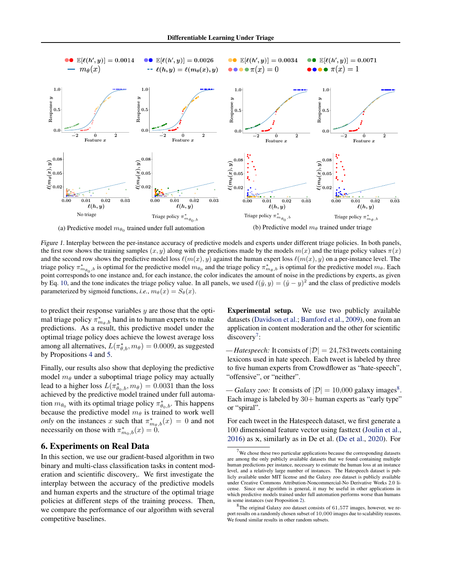<span id="page-5-0"></span>

Figure 1. Interplay between the per-instance accuracy of predictive models and experts under different triage policies. In both panels, the first row shows the training samples  $(x, y)$  along with the predictions made by the models  $m(x)$  and the triage policy values  $\pi(x)$ and the second row shows the predictive model loss  $\ell(m(x), y)$  against the human expert loss  $\ell(m(x), y)$  on a per-instance level. The triage policy  $\pi_{m_{\theta_0},b}^*$  is optimal for the predictive model  $m_{\theta_0}$  and the triage policy  $\pi_{m_{\theta},b}^*$  is optimal for the predictive model  $m_{\theta}$ . Each point corresponds to one instance and, for each instance, the color indicates the amount of noise in the predictions by experts, as given by Eq. [10,](#page-4-0) and the tone indicates the triage policy value. In all panels, we used  $\ell(\hat{y}, y) = (\hat{y} - y)^2$  and the class of predictive models parameterized by sigmoid functions, *i.e.*,  $m_\theta(x) = S_\theta(x)$ .

to predict their response variables  $y$  are those that the optimal triage policy  $\pi^*_{m_\theta,b}$  hand in to human experts to make predictions. As a result, this predictive model under the optimal triage policy does achieve the lowest average loss among all alternatives,  $L(\pi^*_{\theta,b}, m_\theta) = 0.0009$ , as suggested by Propositions [4](#page-2-0) and [5.](#page-2-0)

Finally, our results also show that deploying the predictive model  $m_\theta$  under a suboptimal triage policy may actually lead to a higher loss  $L(\pi^*_{\theta_0,b}, m_\theta) = 0.0031$  than the loss achieved by the predictive model trained under full automation  $m_{\theta_0}$  with its optimal triage policy  $\pi^*_{\theta_0,b}$ . This happens because the predictive model  $m_\theta$  is trained to work well *only* on the instances x such that  $\pi_{m_\theta,b}^*(x) = 0$  and not necessarily on those with  $\pi_{m_0,b}^*(x) = 0$ .

## 6. Experiments on Real Data

In this section, we use our gradient-based algorithm in two binary and multi-class classification tasks in content moderation and scientific discovery,. We first investigate the interplay between the accuracy of the predictive models and human experts and the structure of the optimal triage policies at different steps of the training process. Then, we compare the performance of our algorithm with several competitive baselines.

Experimental setup. We use two publicly available datasets [\(Davidson et al.;](#page-8-0) [Bamford et al.,](#page-8-0) [2009\)](#page-8-0), one from an application in content moderation and the other for scientific discovery<sup>7</sup>:

*— Hatespeech:* It consists of  $|\mathcal{D}| = 24,783$  tweets containing lexicons used in hate speech. Each tweet is labeled by three to five human experts from Crowdflower as "hate-speech", "offensive", or "neither".

*— Galaxy zoo:* It consists of  $|\mathcal{D}| = 10,000$  galaxy images<sup>8</sup>. Each image is labeled by  $30+$  human experts as "early type" or "spiral".

For each tweet in the Hatespeech dataset, we first generate a 100 dimensional feature vector using fasttext [\(Joulin et al.,](#page-8-0) [2016\)](#page-8-0) as x, similarly as in De et al. [\(De et al.,](#page-8-0) [2020\)](#page-8-0). For

 $<sup>7</sup>$  We chose these two particular applications because the corresponding datasets</sup> are among the only publicly available datasets that we found containing multiple human predictions per instance, necessary to estimate the human loss at an instance level, and a relatively large number of instances. The Hatespeech dataset is publicly available under MIT license and the Galaxy zoo dataset is publicly available under Creative Commons Attribution-Noncommercial-No Derivative Works 2.0 license. Since our algorithm is general, it may be useful in other applications in which predictive models trained under full automation performs worse than humans in some instances (see Proposition [2\)](#page-2-0).

 $8$ The original Galaxy zoo dataset consists of 61,577 images, however, we report results on a randomly chosen subset of 10,000 images due to scalability reasons. We found similar results in other random subsets.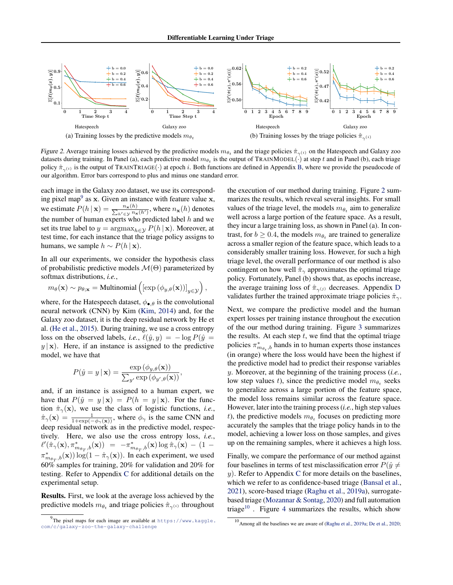

Figure 2. Average training losses achieved by the predictive models  $m_{\theta_t}$  and the triage policies  $\hat{\pi}_{\gamma^{(i)}}$  on the Hatespeech and Galaxy zoo datasets during training. In Panel (a), each predictive model  $m_{\theta_t}$  is the output of TRAINMODEL( $\cdot$ ) at step t and in Panel (b), each triage policy  $\hat{\pi}_{\gamma(i)}$  is the output of TRAINTRIAGE(·) at epoch i. Both functions are defined in Appendix B, where we provide the pseudocode of our algorithm. Error bars correspond to plus and minus one standard error.

each image in the Galaxy zoo dataset, we use its corresponding pixel map<sup>9</sup> as  $x$ . Given an instance with feature value  $x$ , we estimate  $P(h | \mathbf{x}) = \frac{n_{\mathbf{x}}(h)}{\sum_{h' \in \mathcal{Y}} n_{\mathbf{x}}(h')}$ , where  $n_{\mathbf{x}}(h)$  denotes the number of human experts who predicted label  $h$  and we set its true label to  $y = \argmax_{h \in \mathcal{Y}} P(h | \mathbf{x})$ . Moreover, at test time, for each instance that the triage policy assigns to humans, we sample  $h \sim P(h | \mathbf{x})$ .

In all our experiments, we consider the hypothesis class of probabilistic predictive models  $\mathcal{M}(\Theta)$  parameterized by softmax distributions, *i.e.*,

$$
m_{\theta}(\mathbf{x}) \sim p_{\theta; \mathbf{x}} = \text{Multinomial}\left( \left[ \exp\left(\phi_{y,\theta}(\mathbf{x})\right) \right]_{y \in \mathcal{Y}} \right),
$$

where, for the Hatespeech dataset,  $\phi_{\bullet,\theta}$  is the convolutional neural network (CNN) by Kim [\(Kim,](#page-8-0) [2014\)](#page-8-0) and, for the Galaxy zoo dataset, it is the deep residual network by He et al. [\(He et al.,](#page-8-0) [2015\)](#page-8-0). During training, we use a cross entropy loss on the observed labels, *i.e.*,  $\ell(\hat{y}, y) = -\log P(\hat{y} =$  $y | x$ ). Here, if an instance is assigned to the predictive model, we have that

$$
P(\hat{y} = y \mid \mathbf{x}) = \frac{\exp(\phi_{y,\theta}(\mathbf{x}))}{\sum_{y'} \exp(\phi_{y',\theta}(\mathbf{x}))},
$$

and, if an instance is assigned to a human expert, we have that  $P(\hat{y} = y | \mathbf{x}) = P(h = y | \mathbf{x})$ . For the function  $\hat{\pi}_{\gamma}(\mathbf{x})$ , we use the class of logistic functions, *i.e.*,  $\hat{\pi}_{\gamma}(\mathbf{x}) = \frac{1}{1 + \exp(-\phi_{\gamma}(\mathbf{x}))}$ , where  $\phi_{\gamma}$  is the same CNN and deep residual network as in the predictive model, respectively. Here, we also use the cross entropy loss, *i.e.*,  $\ell'(\hat{\pi}_{\gamma}(\mathbf{x}), \pi^*_{m_{\theta_T},b}(\mathbf{x})) = -\pi^*_{m_{\theta_T},b}(\mathbf{x}) \log \hat{\pi}_{\gamma}(\mathbf{x}) - (1 \pi^*_{m_{\theta_T},b}(\mathbf{x})) \log(1 - \hat{\pi}_{\gamma}(\mathbf{x}))$ . In each experiment, we used 60% samples for training, 20% for validation and 20% for testing. Refer to Appendix C for additional details on the experimental setup.

Results. First, we look at the average loss achieved by the predictive models  $m_{\theta_t}$  and triage policies  $\hat{\pi}_{\gamma^{(i)}}$  throughout

the execution of our method during training. Figure 2 summarizes the results, which reveal several insights. For small values of the triage level, the models  $m_{\theta_t}$  aim to generalize well across a large portion of the feature space. As a result, they incur a large training loss, as shown in Panel (a). In contrast, for  $b \ge 0.4$ , the models  $m_{\theta_t}$  are trained to generalize across a smaller region of the feature space, which leads to a considerably smaller training loss. However, for such a high triage level, the overall performance of our method is also contingent on how well  $\hat{\pi}_{\gamma}$  approximates the optimal triage policy. Fortunately, Panel (b) shows that, as epochs increase, the average training loss of  $\hat{\pi}_{\gamma}(j)$  decreases. Appendix D validates further the trained approximate triage policies  $\hat{\pi}_{\gamma}$ .

Next, we compare the predictive model and the human expert losses per training instance throughout the execution of the our method during training. Figure [3](#page-7-0) summarizes the results. At each step  $t$ , we find that the optimal triage policies  $\pi^*_{m_{\theta_t},b}$  hands in to human experts those instances (in orange) where the loss would have been the highest if the predictive model had to predict their response variables y. Moreover, at the beginning of the training process (*i.e.*, low step values t), since the predictive model  $m_{\theta_t}$  seeks to generalize across a large portion of the feature space, the model loss remains similar across the feature space. However, later into the training process (*i.e.*, high step values t), the predictive models  $m_{\theta_t}$  focuses on predicting more accurately the samples that the triage policy hands in to the model, achieving a lower loss on those samples, and gives up on the remaining samples, where it achieves a high loss.

Finally, we compare the performance of our method against four baselines in terms of test misclassification error  $P(\hat{y} \neq 0)$  $y$ ). Refer to Appendix C for more details on the baselines, which we refer to as confidence-based triage [\(Bansal et al.,](#page-8-0) [2021\)](#page-8-0), score-based triage [\(Raghu et al.,](#page-8-0) [2019a\)](#page-8-0), surrogatebased triage [\(Mozannar & Sontag,](#page-8-0) [2020\)](#page-8-0) and full automation triage<sup>10</sup>. Figure [4](#page-7-0) summarizes the results, which show

 $^{9}$ The pixel maps for each image are available at [https://www.kaggle.](https://www.kaggle.com/c/galaxy-zoo-the-galaxy-challenge) [com/c/galaxy-zoo-the-galaxy-challenge](https://www.kaggle.com/c/galaxy-zoo-the-galaxy-challenge)

<sup>10</sup>Among all the baselines we are aware of [\(Raghu et al.,](#page-8-0) [2019a;](#page-8-0) [De et al.,](#page-8-0) [2020;](#page-8-0)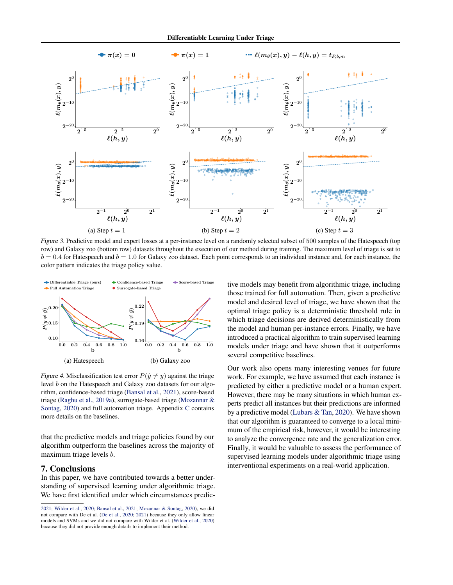<span id="page-7-0"></span>

Figure 3. Predictive model and expert losses at a per-instance level on a randomly selected subset of 500 samples of the Hatespeech (top row) and Galaxy zoo (bottom row) datasets throughout the execution of our method during training. The maximum level of triage is set to  $b = 0.4$  for Hatespeech and  $b = 1.0$  for Galaxy zoo dataset. Each point corresponds to an individual instance and, for each instance, the color pattern indicates the triage policy value.



Figure 4. Misclassification test error  $P(\hat{y} \neq y)$  against the triage level b on the Hatespeech and Galaxy zoo datasets for our algorithm, confidence-based triage [\(Bansal et al.,](#page-8-0) [2021\)](#page-8-0), score-based triage [\(Raghu et al.,](#page-8-0) [2019a\)](#page-8-0), surrogate-based triage [\(Mozannar &](#page-8-0) [Sontag,](#page-8-0) [2020\)](#page-8-0) and full automation triage. Appendix C contains more details on the baselines.

that the predictive models and triage policies found by our algorithm outperform the baselines across the majority of maximum triage levels b.

# 7. Conclusions

In this paper, we have contributed towards a better understanding of supervised learning under algorithmic triage. We have first identified under which circumstances predictive models may benefit from algorithmic triage, including those trained for full automation. Then, given a predictive model and desired level of triage, we have shown that the optimal triage policy is a deterministic threshold rule in which triage decisions are derived deterministically from the model and human per-instance errors. Finally, we have introduced a practical algorithm to train supervised learning models under triage and have shown that it outperforms several competitive baselines.

Our work also opens many interesting venues for future work. For example, we have assumed that each instance is predicted by either a predictive model or a human expert. However, there may be many situations in which human experts predict all instances but their predictions are informed by a predictive model [\(Lubars & Tan,](#page-8-0) [2020\)](#page-8-0). We have shown that our algorithm is guaranteed to converge to a local minimum of the empirical risk, however, it would be interesting to analyze the convergence rate and the generalization error. Finally, it would be valuable to assess the performance of supervised learning models under algorithmic triage using interventional experiments on a real-world application.

[<sup>2021;</sup>](#page-8-0) [Wilder et al.,](#page-9-0) [2020;](#page-9-0) [Bansal et al.,](#page-8-0) [2021;](#page-8-0) [Mozannar & Sontag,](#page-8-0) [2020\)](#page-8-0), we did not compare with De et al. [\(De et al.,](#page-8-0) [2020;](#page-8-0) [2021\)](#page-8-0) because they only allow linear models and SVMs and we did not compare with Wilder et al. [\(Wilder et al.,](#page-9-0) [2020\)](#page-9-0) because they did not provide enough details to implement their method.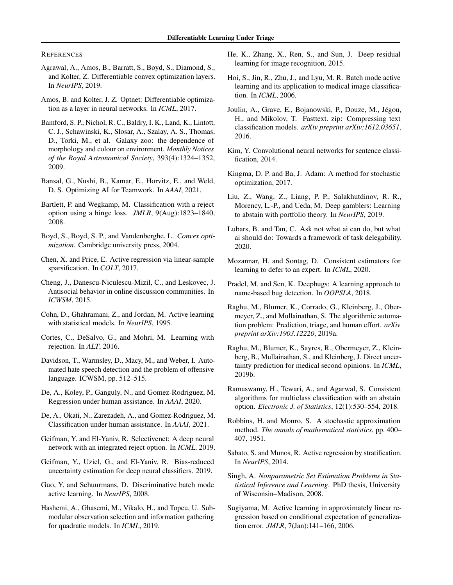#### <span id="page-8-0"></span>**REFERENCES**

- Agrawal, A., Amos, B., Barratt, S., Boyd, S., Diamond, S., and Kolter, Z. Differentiable convex optimization layers. In *NeurIPS*, 2019.
- Amos, B. and Kolter, J. Z. Optnet: Differentiable optimization as a layer in neural networks. In *ICML*, 2017.
- Bamford, S. P., Nichol, R. C., Baldry, I. K., Land, K., Lintott, C. J., Schawinski, K., Slosar, A., Szalay, A. S., Thomas, D., Torki, M., et al. Galaxy zoo: the dependence of morphology and colour on environment. *Monthly Notices of the Royal Astronomical Society*, 393(4):1324–1352, 2009.
- Bansal, G., Nushi, B., Kamar, E., Horvitz, E., and Weld, D. S. Optimizing AI for Teamwork. In *AAAI*, 2021.
- Bartlett, P. and Wegkamp, M. Classification with a reject option using a hinge loss. *JMLR*, 9(Aug):1823–1840, 2008.
- Boyd, S., Boyd, S. P., and Vandenberghe, L. *Convex optimization*. Cambridge university press, 2004.
- Chen, X. and Price, E. Active regression via linear-sample sparsification. In *COLT*, 2017.
- Cheng, J., Danescu-Niculescu-Mizil, C., and Leskovec, J. Antisocial behavior in online discussion communities. In *ICWSM*, 2015.
- Cohn, D., Ghahramani, Z., and Jordan, M. Active learning with statistical models. In *NeurIPS*, 1995.
- Cortes, C., DeSalvo, G., and Mohri, M. Learning with rejection. In *ALT*, 2016.
- Davidson, T., Warmsley, D., Macy, M., and Weber, I. Automated hate speech detection and the problem of offensive language. ICWSM, pp. 512–515.
- De, A., Koley, P., Ganguly, N., and Gomez-Rodriguez, M. Regression under human assistance. In *AAAI*, 2020.
- De, A., Okati, N., Zarezadeh, A., and Gomez-Rodriguez, M. Classification under human assistance. In *AAAI*, 2021.
- Geifman, Y. and El-Yaniv, R. Selectivenet: A deep neural network with an integrated reject option. In *ICML*, 2019.
- Geifman, Y., Uziel, G., and El-Yaniv, R. Bias-reduced uncertainty estimation for deep neural classifiers. 2019.
- Guo, Y. and Schuurmans, D. Discriminative batch mode active learning. In *NeurIPS*, 2008.
- Hashemi, A., Ghasemi, M., Vikalo, H., and Topcu, U. Submodular observation selection and information gathering for quadratic models. In *ICML*, 2019.
- He, K., Zhang, X., Ren, S., and Sun, J. Deep residual learning for image recognition, 2015.
- Hoi, S., Jin, R., Zhu, J., and Lyu, M. R. Batch mode active learning and its application to medical image classification. In *ICML*, 2006.
- Joulin, A., Grave, E., Bojanowski, P., Douze, M., Jégou, H., and Mikolov, T. Fasttext. zip: Compressing text classification models. *arXiv preprint arXiv:1612.03651*, 2016.
- Kim, Y. Convolutional neural networks for sentence classification, 2014.
- Kingma, D. P. and Ba, J. Adam: A method for stochastic optimization, 2017.
- Liu, Z., Wang, Z., Liang, P. P., Salakhutdinov, R. R., Morency, L.-P., and Ueda, M. Deep gamblers: Learning to abstain with portfolio theory. In *NeurIPS*, 2019.
- Lubars, B. and Tan, C. Ask not what ai can do, but what ai should do: Towards a framework of task delegability. 2020.
- Mozannar, H. and Sontag, D. Consistent estimators for learning to defer to an expert. In *ICML*, 2020.
- Pradel, M. and Sen, K. Deepbugs: A learning approach to name-based bug detection. In *OOPSLA*, 2018.
- Raghu, M., Blumer, K., Corrado, G., Kleinberg, J., Obermeyer, Z., and Mullainathan, S. The algorithmic automation problem: Prediction, triage, and human effort. *arXiv preprint arXiv:1903.12220*, 2019a.
- Raghu, M., Blumer, K., Sayres, R., Obermeyer, Z., Kleinberg, B., Mullainathan, S., and Kleinberg, J. Direct uncertainty prediction for medical second opinions. In *ICML*, 2019b.
- Ramaswamy, H., Tewari, A., and Agarwal, S. Consistent algorithms for multiclass classification with an abstain option. *Electronic J. of Statistics*, 12(1):530–554, 2018.
- Robbins, H. and Monro, S. A stochastic approximation method. *The annals of mathematical statistics*, pp. 400– 407, 1951.
- Sabato, S. and Munos, R. Active regression by stratification. In *NeurIPS*, 2014.
- Singh, A. *Nonparametric Set Estimation Problems in Statistical Inference and Learning*. PhD thesis, University of Wisconsin–Madison, 2008.
- Sugiyama, M. Active learning in approximately linear regression based on conditional expectation of generalization error. *JMLR*, 7(Jan):141–166, 2006.